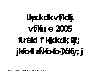# Lkpuk dk vf/kdkj vf/Kruje 2005 funskd f'kk.k dk; ky; jkfo-fl aÑ-fo-fo-]Xoky; j

 $\mathbf{1}$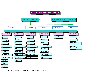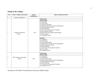# **Details of the Colleges**

| S.No.       | Name of College with location         | Year of              | <b>Degree Programme offered</b>                                                                                                                                                                                                                                                                                                                                                                                                                                                                                                                                                                                                                                     |
|-------------|---------------------------------------|----------------------|---------------------------------------------------------------------------------------------------------------------------------------------------------------------------------------------------------------------------------------------------------------------------------------------------------------------------------------------------------------------------------------------------------------------------------------------------------------------------------------------------------------------------------------------------------------------------------------------------------------------------------------------------------------------|
|             |                                       | <b>Establishment</b> |                                                                                                                                                                                                                                                                                                                                                                                                                                                                                                                                                                                                                                                                     |
| $\mathbf I$ | <b>Faculty of Agriculture</b>         |                      |                                                                                                                                                                                                                                                                                                                                                                                                                                                                                                                                                                                                                                                                     |
| 1.          | College of Agriculture,<br>Gwalior    | 1950                 | (i) B.Sc.(Ag.)<br>$(ii)$ M.Sc. $(Ag.)$<br>(1) Agronomy<br>(2) Entomology<br>(3) Extension Education<br>(4) Agricultural Economics & Farm Management<br>(5) Plant Breeding & Genetics<br>(6) Plant Pathology<br>(7) Soil Science & Agricultural Chemistry<br>(8) Environmental Science<br>(9) Plant molecular biology & Biotechnology<br>(10) Fruit Sceince<br>(11) Vegetable Sceince<br>(iii) Ph.D.<br>(1) Agronomy<br>(2) Entomology<br>(3) Extension Education<br>(4) Agricultural Economics & Farm Management<br>(5) Plant Breeding & Genetics<br>(6) Plant Pathology<br>(7) Soil Science & Agricultural Chemistry<br>(8) Fruit Sceince<br>(9) Vegetable Sceince |
| 2.          | RAK College of Agriculture,<br>Sehore | 1952                 | $(i)$ B.Sc. $(Ag.)$<br>$(ii)$ M.Sc. $(Ag.)$<br>$(1)$ Agronomy<br>(2) Entomology<br>(3) Extension Education<br>(4) Agricultural Economics & Farm Management<br>(5) Plant Breeding & Genetics<br>(6) Plant Pathology<br>(7) Soil Science & Agricultural Chemistry<br>(8) Vegetable Sceince                                                                                                                                                                                                                                                                                                                                                                            |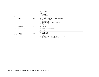|                  |                                                 |      | $(i)$ B.Sc. $(Ag.)$<br>$(ii)$ M.Sc. $(Ag.)$<br>(1) Agronomy<br>(2) Entomology                                                                                                |
|------------------|-------------------------------------------------|------|------------------------------------------------------------------------------------------------------------------------------------------------------------------------------|
| 3.               | College of Agriculture,<br>Indore               | 1959 | (3) Extension Education<br>(4) Agricultural Economics & Farm Management<br>(5) Plant Breeding & Genetics<br>(6) Plant Pathology<br>(7) Soil Science & Agricultural Chemistry |
|                  |                                                 |      | (8) Vegetable Sceince                                                                                                                                                        |
| $\overline{4}$ . | <b>BM</b> College of<br>Agriculture, Khandwa    | 1987 | $(i)$ B.Sc. $(Ag.)$                                                                                                                                                          |
|                  |                                                 |      | $(ii)$ M.Sc. $(Ag.)$ Plant Pathology                                                                                                                                         |
|                  |                                                 |      | $(i)$ B.Sc. (Hort.)                                                                                                                                                          |
| 5.               | <b>KNK</b> College of<br>Horticulture, Mandsaur | 2002 | (ii) M.Sc.(Hort.)<br>(1) Fruit Sceince<br>(2) Vegetable Sceince<br>(3) Plantation, Spices, Medicinal & Aromatic Crops<br>(4) Floriculture & Landscape Architecture           |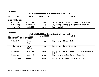# **fcUnq d zekad&2**

# vf/kdkjh@de pkjh Onkjk likfnr fd;s tku s oky s dr D; ka dh v | ru tkudkjh

| $d\mathbf{a}$ | uke                                | i nuke            | <b>XM oru 1-3-2016</b> | nk; Ro                                                                  |
|---------------|------------------------------------|-------------------|------------------------|-------------------------------------------------------------------------|
|               | funskd f $'$ k $(k, k, dk;$ k $y;$ |                   |                        |                                                                         |
|               | $Mk$ - ch, $l$ - c?ksy             | funskd f"k{k.k    | 10000                  | itklfud ,oaNk= dY;k.k]ihth@ih,pMh"k{kf.kd ,oa∨ihyh; vf/kdkjh            |
|               | Mk- d-, u- uxkbb                   | mi funskd f"k{k.k | 10000                  | Iforj.k, oa vgj.k vf/kdkjh] 'k\$kf.kd 'kk[kk ea Nk=ka I s I cá/kr dk; i |
|               | Jh th,I - tkVo                     | $lgk$ ; d $xM$ 2  | 2400                   | LFkki uk , oa y $\{$ kk dk;                                             |

## **fcUn w d zekad&2**

# vf/kdkih@de bkih Onkik laikfnr fd;s tku s oky s dr D; ka dh v | ru tkudkih

| d <b>a</b>     | uke                                      | <b>i</b> nuke               | <b>xM</b> o <b>ru</b> 1-3-2016 | nk; Ro                                                                                                                                    |
|----------------|------------------------------------------|-----------------------------|--------------------------------|-------------------------------------------------------------------------------------------------------------------------------------------|
|                | dthb; ittrdky; ] jkfofl iNfofo-lXolfy; j |                             |                                |                                                                                                                                           |
|                | Mk jkefuokl<br>"keki                     | vfl LVV<br>ykbcti; u        | 6000                           | $d\text{sinh}$ ; $i\text{tr}d\text{k}$ y; $i\text{tr}d\text{k}$ is $i\text{tr}d\text{k}$ if $i\text{tr}d\text{k}$ ; $i\text{tr}d\text{k}$ |
| $\overline{2}$ | $Jh$ /khj t $JhokL\overline{ro}$         | VDuhdy<br>ykbcfj; u         | 3600                           | dunh; itrdky; IslEctU/kr VDundy dk;                                                                                                       |
| 3              | d vpuk Hkkj}kt                           | dEl; Wj ikskej              | 3600                           | dunh; itrdky; Islecflukr I Hth tkudkjh fofo ikWy ij viykM djus<br>$dk$ dk; $l$                                                            |
| 4              | d fuelyk ujoj                            | xMky; ifjpkjd               | 1300                           | dunh; itrdky; esitrdkadsj[k j[kko IslEcfU/kr dk;                                                                                          |
| 5              | Jh yodskikjk kj                          | $ykbf$ jh I $k\overline{V}$ | 1300                           | $\Delta$ uht; itrdky; eaitrdkadh x.kuk , oa, UVh I s I Ecfl/kr dk;                                                                        |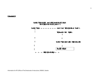fclhwdeld&3

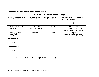# fcUnw delad%4 *W/2* **lfUu; dlack fu/kg .k dR; lads fuo gu d sfy; s**

# dk;ky; Onkjk le; I hek eadk; Z fuiVku} dh tkudkjh

| d. | $dk$ ; @xfrfof/k@; kt uk uke               | dk; dkjh vf/kdkjh                     | fui Vkjsdh I e; & I hek | I e; I hek entuorlu u gkus dh fLFkfr enti<br>f'kdk; r fdl sdh tkos                                |
|----|--------------------------------------------|---------------------------------------|-------------------------|---------------------------------------------------------------------------------------------------|
|    |                                            |                                       |                         |                                                                                                   |
|    | LFkkuh; $Lri$ ij dk; $l$ ds<br>fui Vkjsgrq | Jh ,e-vkj- tkVo<br>ykd I puk vf/kdkjh | $30$ fnu                | $Mk$ - $ch, I - C?$ ksy<br>vihyh; vf/kdkjh@funskd f"k{k.k<br>jk-fo-fl -df"k fo"ofo   ky; Xokfy; j |
|    | fo-fo-Lrj ij dk; lds<br>fui Vkjsgrq        | fo-fo-it'klu                          | $30$ fnu                | dwifr<br>jk-fo-fl --df"k fo"ofo   ky; Xokfy; j                                                    |

## fcUnwdekd&4 %½

fujad

## fcUnwdekd&4 14 1/<sub>2</sub>

fujad

# $p; u$  ifdzk

jktekrk fot;kjktsfl &/k;k] df"k fo"ofo|ky; Xokfy;j iz'kklu }kjk dh tkrh g S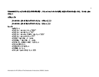fcUnw dekad&5 fu; eu] funk vk\$ fjdkMZ vfHkfu/kkUjr ;k fu;a=.k ea;k mlds de $\tilde{\rho}$ kj;k sa }kjk d R;ka ds fuoZgu ds fy, bLrseky gksus **ds fy; s**

# **vf/kfu;e %&**

**jktekrk fot; kjkts fl folk; k df'k fo"o fo|ky; vf/kfu; e] 2009 jktekrk fot; kjktsfl filk; k df'k fo"o fo|ky; ifjfu; e 2014** 

## **fu;e %&**

 $ewH$ k fu;  $e$ e0i of I foy l ok vkpj.k fu;  $e^{\gamma 1}965^{\gamma}$ e0i flf foy  $\overline{I}$  pk issue fu;  $e^{\lambda}$  76<sup> $\lambda$ </sup> e0i Oflfoy I ok uohu ifjHkkf"kr i sku fu; e^ 2005^ e0i of I foy I at vodk't fu;  $e^{\gamma}$ 77<sup> $\gamma$ </sup> e0i DfoRr I agrk Hkkx, d, oa nks e0i Ddk Skky; I figrk Hkkx, d, oa nks  $e^{i\theta}$  end if the denotion in the  $e^{i\theta}$  and  $e^{i\theta}$  and  $e^{i\theta}$  and  $e^{i\theta}$  and  $e^{i\theta}$  and  $e^{i\theta}$  and  $e^{i\theta}$  and  $e^{i\theta}$  and  $e^{i\theta}$  and  $e^{i\theta}$  and  $e^{i\theta}$  and  $e^{i\theta}$  and  $e^{i\theta}$  and  $e^{i\theta}$  and  $e^{$  $e0i0$ ; k=k HkRrk fu; e e0i $D$ fpfdRlk ifrifrz $I$ fu; e  $e^{i\theta}$ i $\theta$ Hk $\theta$ Kki dz $\theta$ i fu; e e0i0 ykd I puk vf/kdkj fu; e  $2005$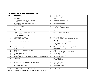| fclingdelad&6 | dk; ky; eamiy C/k vfHky { kadk fooj.k |  |  |  |
|---------------|---------------------------------------|--|--|--|
|---------------|---------------------------------------|--|--|--|

| dela            | vfHky{k dk uke                                                                                                                                                     | 23              | <b>Student Strength</b>                                                                          |
|-----------------|--------------------------------------------------------------------------------------------------------------------------------------------------------------------|-----------------|--------------------------------------------------------------------------------------------------|
| $\mathbf{1}$    | <b>Joint Entrance Exam</b>                                                                                                                                         | $\overline{24}$ | <b>Model Training Courses</b>                                                                    |
| $\overline{2}$  | Note-Sheet                                                                                                                                                         | $\overline{25}$ | Agenda                                                                                           |
| $\overline{3}$  | 1. Permission for GAP & $7th$ , 9 <sup>th</sup> Semester                                                                                                           | $\overline{26}$ | Traditional Permission (Ph.D.)                                                                   |
|                 | 2. Third Attempt permission                                                                                                                                        |                 |                                                                                                  |
| 4               | Scholarships/Awards (JRF/JNU/NTS/SRF/                                                                                                                              | 27              | <b>PG Admission Notice</b>                                                                       |
|                 | Vikramaditya                                                                                                                                                       |                 |                                                                                                  |
| 5               | Guest/Adjunct Faculty                                                                                                                                              | 28              | Subject Change                                                                                   |
| 6               | Order                                                                                                                                                              | $\overline{29}$ | ihth, oaih, p-Mh-Fkhfll enl; kudu                                                                |
|                 | Registrar Order                                                                                                                                                    |                 |                                                                                                  |
| $\overline{7}$  | Part Time Teacher                                                                                                                                                  | 30              | Tender                                                                                           |
| 8               | 1. Joint Entrance Examination (PG/Ph.D.)                                                                                                                           | 31              | (M.Sc.) Semester wise Result                                                                     |
|                 | 2. Ph.D. Admission                                                                                                                                                 |                 |                                                                                                  |
|                 | 3. Vacant Seat Position Student                                                                                                                                    |                 |                                                                                                  |
| 9               | Games / Youth Festival                                                                                                                                             | 32              | <b>Revel Data Students</b>                                                                       |
| 10              | <b>Student Notification/Result</b>                                                                                                                                 | 33              | Subject & Category Wise Distribution of Seats                                                    |
|                 |                                                                                                                                                                    |                 | PG/Ph.D.                                                                                         |
| 11              | Advisory Committee all colleges                                                                                                                                    | 34              | 1. Proposal for Agril-Polytechnic                                                                |
|                 |                                                                                                                                                                    |                 | 2. Perspective Plan - RUSA                                                                       |
|                 |                                                                                                                                                                    |                 | 3. PAT                                                                                           |
| 12              | Notification / vf/kl puk                                                                                                                                           | 35              | Mera Gaon Mera Gourav(ejk xkp ejk xkjo)/2                                                        |
| $\overline{13}$ | Notice                                                                                                                                                             | $\overline{36}$ | <b>Cordination Committee</b>                                                                     |
| 14              | Comprehensive Exam/thesis viva-voce                                                                                                                                | $\overline{37}$ | PAT admission                                                                                    |
| 15              | Circular                                                                                                                                                           | $\overline{38}$ | Ph.D. vfrfjDr dkl 1 gVkus gr q 2015 I s I Ecfl/kr                                                |
| $\overline{16}$ | nfud oru Hkkxh fu; efrdj.k                                                                                                                                         | 39              | Fee Structure                                                                                    |
| 17              | "k\f.kd dy\$Mj                                                                                                                                                     | 40              | Short attendance (PG) student                                                                    |
| 18              | e-iz 'kkl u vkfne tkfr dY; k.k folkkx/sc,st.schollership Guideline/Rules                                                                                           | 41              | <b>Re-Admitted Students</b>                                                                      |
| 19              | Vyapam file                                                                                                                                                        | 42              | <b>SOM</b> Meeting                                                                               |
|                 |                                                                                                                                                                    |                 | <b>SOM Proceedings</b>                                                                           |
|                 |                                                                                                                                                                    |                 |                                                                                                  |
|                 |                                                                                                                                                                    |                 |                                                                                                  |
|                 |                                                                                                                                                                    |                 |                                                                                                  |
|                 |                                                                                                                                                                    |                 |                                                                                                  |
|                 |                                                                                                                                                                    |                 |                                                                                                  |
| 20<br>21<br>22  | $i$ KT; dsckq $j \vee j$ ; ujr ½mRrjimoh $i$ jkT; kadsNk=kalsl $\epsilon$ a/kr $i$<br>nkunkrkvka }kjk Nk=ofRr eMy<br>Directors Transfer, Joining & Relieving order | 43<br>44<br>45  | <b>Local Proceedings</b><br>All Colleges Proceedings<br>Thesis Title Change<br><b>ICAR</b> Quota |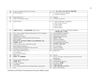| 46              | <b>ICAR Accreditation (Peer Review Team)</b>                    | $\overline{72}$ | ei: 'kkl u okf.kT; ] m   kx vk\$ jkst xkj foHkkx] Hkkiky |
|-----------------|-----------------------------------------------------------------|-----------------|----------------------------------------------------------|
| $\overline{47}$ | <b>ICAR Admission</b>                                           | $\overline{73}$ | 1. Central Purchase Committee                            |
|                 |                                                                 |                 | 2. Purchase Committee                                    |
|                 | <b>Book Publications</b>                                        |                 |                                                          |
| 48              |                                                                 | 74<br>75        | Ragging<br><b>Scientists Nomination</b>                  |
| 49              | Other All Universites Letter                                    |                 |                                                          |
| 50              | RFID (Tender)                                                   | 76              | 1. MOU Wageningen / Netherland                           |
|                 |                                                                 |                 | 2. MOU Jiwaji University                                 |
|                 |                                                                 |                 | 3. CPRI, Shimla                                          |
|                 |                                                                 |                 | 4. MOU CRISP                                             |
|                 |                                                                 |                 | 5. Potato Research                                       |
| 51              | nkuka df'k fo"ofo   ky; , oa mPpf"k{kk folkkx (Bifurcation)     | 77              | 1. Governor Confidential (Raj Bhavan Bhopal) /           |
|                 |                                                                 |                 | mPpf"k{kk ds{k= 1 s I EcfU/kr                            |
| 52              | UGC / Rajiv Gandhi National Fellowship for SC/ST Candidates     | 78              | IAUA (Regional Committee)                                |
| 53              | Academic Council                                                | $\overline{79}$ | Department Wise Profile                                  |
| 54              | Administrative council                                          | 80              | Rate approval Notification                               |
| 55              | Biotechnology & Environmental Science Proposal                  | 81              | uohu cht i jh{k.k                                        |
| 56              | <b>Short Training</b>                                           | 82              | <b>Students Attendance</b>                               |
| 57              | fdl ku dY; k.k, oadfk fodkl folkkx¼ hth@ih, pMh½ Nk=ofRr iiksty | 83              | <b>PG Examination Result</b>                             |
| 58              | fodekfnR; ; kst uk                                              | 84              | <b>Campus Plaecement Students</b>                        |
| 59              | Jiwaji University Ph.D. student (Ku.Sonali)                     | 85              | fo-fo-jkkVj izkkyh vrxh                                  |
| 60              | Human Right Commission                                          | 86              | 3 <sup>rd</sup> Convocation                              |
| 61              | Resarch Propocel Extrolmural Project (ICAR)                     | 87              | <b>JNKVV</b> all letters                                 |
| 62              | Academic Council Proposal                                       | 88              | <b>Advance Increment</b>                                 |
| 63              | <b>B.Sc. Student Admisssion List</b>                            | 89              | Raipur Unit                                              |
|                 | <b>UG</b> Admission                                             |                 |                                                          |
|                 | B.Sc. Sem. Wise Result                                          |                 |                                                          |
| 64              | <b>IPRO Letter</b>                                              | 90              | DDI file                                                 |
| 65              | Nk=kokl d-2 @ Hkr[kgMFky                                        | 91              | Review & Suggest Amendment (UG/PG & Ph.D) Acd.           |
|                 |                                                                 |                 | Regulations                                              |
| 66              | Services during study period                                    | $\overline{92}$ | <b>CIARD RING</b>                                        |
| 67              | ipo"kh?; kstuk                                                  | 93              | <b>International Symposium</b>                           |
| 68              | 5 <sup>th</sup> Dean Committee                                  | 94              | Post Metric Nk=ofRr                                      |
| 69              | <b>Gold Medal</b>                                               | 95              | <b>Student Transfer</b>                                  |
| 70              | V.C. Conference Report (Action Taken Report/ Agend item)        | 96              | I keku; fu/ku oxldY; k.k vk; kx e-i-                     |
| $\overline{71}$ | <b>IAO</b>                                                      | 97              | <b>Black Listed Students</b>                             |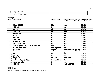| 98  | $\overline{\phantom{a}}$<br>∽<br>. Reader<br>Card<br>Smart             |  |
|-----|------------------------------------------------------------------------|--|
| OQ  | Exam<br>⊥ndterm ∙                                                      |  |
| 100 | $\sim$<br>$\sim$<br>Campus<br>lean and<br>$\cdot$ -roor<br>сIJ<br>. UU |  |

# **y s[kk 'kk[kk&**

| dela | vfHky{k dk uke                                 | vfHky{k dk idkj                | $VfHky\{k dh\ idlfr\$ , oafooj.k | vfHky{k dh vof/k |
|------|------------------------------------------------|--------------------------------|----------------------------------|------------------|
|      |                                                |                                |                                  |                  |
| 1.   | dsk cd 2014&15                                 | dskcol                         | y{⊮                              | 2014&15          |
| 2.   | vkMV I aákh                                    | uLrh                           | <b>N</b>                         | 2014&15          |
| 3.   | ns dith                                        | ith                            | y{⊮                              | 2014&15          |
| 4.   | vko¥u ith                                      | ith                            | <b>Af<sub>K</sub></b>            | 2014&15          |
| 5.   | $, e$ -ih-Vh-Ih-6                              | cd                             | <b>Af<sub>K</sub></b>            | 2014&15          |
| 6.   | pd cd                                          | cd                             | <b>Af<sub>K</sub></b>            | 2014&15          |
| 7.   | pkyku Ohl                                      | uLrh                           | <b>Af<sub>K</sub></b>            | 2014&15          |
| 8.   | vko Vulak h                                    | uLrh                           | <b>Afk</b>                       | 2014&15          |
| 9.   | cut MMV vkod l adkh                            | uLrh                           | <b>Afk</b>                       | 2014&15          |
| 10.  | &]]&<br>tkod la#h                              | uLrh                           | <b>Af<sub>K</sub></b>            | 2014&15          |
| 11.  | Ih ih, Q] ifjHKf'kr isku ; ktuk , o vU; dVks-k | $^{\prime\prime}$ kin $\div$ w | <b>Afk</b>                       | 2014&15          |
| 12.  | oru ith, oaoru nș d                            | uLrh, oagKMZfMLd               | <b>y{k</b>                       | 2014&15          |
| 13.  | Ohl dy <sup>g</sup> "ku                        | vka <i>ykou</i>                | vkill ykbu fo'o fo   ky; Lrj     | 2014&15          |
|      |                                                |                                | ij                               |                  |
| 14.  | ctV                                            | uLrh                           | <b>Afk</b>                       | 2014&15          |
| 15.  | ns d Qkby                                      | uLrh                           | y{⊮                              | 2014&15          |
| 16.  | VsyhQksu I adkh                                | ith@uLrh                       | Hk.Mkj i Hkjh                    | 2014&15          |
| 17.  | $vk; 0; ; i=d$ , oacid LVVeV                   | uLrh, oagKMZfMLd               | <b>AIRE IK</b>                   | 2014&15          |
| 18.  | fufonk I adth nLrkos                           | uLrh                           | <b>Af<sub>K</sub></b>            | 2014&15          |
| 19.  | <b>VKMV fjikV</b>                              | uLrh                           | I atykr y{kk 'kk[kk              | 2014&15          |

# **Hk.Mkj 'kk[kk&**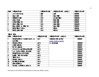| dela                    | vfiky {k dk uke            | vilky{k dk i dkj    | vfHysk dh i dfr, oafooj.k | vfHky [k dh vof/k |
|-------------------------|----------------------------|---------------------|---------------------------|-------------------|
|                         | e-ih Vh Ih 6 cod           | <b>&amp;]]&amp;</b> | <b>Af<sub>K</sub></b>     | 2014&15           |
| $\overline{2}$          | okqu I adkh                | iath                | okgu ibkkjh               | 2014&15           |
| $\overline{3}$          | <b>OkVkdkih I cáh</b>      | ith                 | yk; cjh i Hkjh            | 2014&15           |
| 4                       | y{ku I kexh                | iath                | LVkj i Hkjh               | 2014&15           |
| $\overline{5}$          | vLFK;h HMkjidth            | ith                 | LVk <b>i</b> ibkih        | 2014&15           |
| 6                       | LFK:h Helkj ith            | ith                 | LVkj i Hkjh               | 2014&15           |
|                         | Ckgu ykWcqd, o Helkji iath | iath                | okgu ibkijh               | 2014&15           |
| $\overline{\mathbf{8}}$ | Hk. Mkj Hk&rd I R; ki u    | uLrh                | LFkii uk                  | 2014&15           |
| 9                       | Hk. Mkj y{k l adkh         | ith                 | LFki uk                   | 2014&15           |

# **'k S{kf.kd 'kk[kk**

| dela                    | vfHky{k dk ule                     | vilky{k dk idkj | vfHky{k dh idfr , oafooj.k | villy [k dh voi/k |
|-------------------------|------------------------------------|-----------------|----------------------------|-------------------|
| $\overline{1}$          | Nk=ladh 0; fDrxr tludkjh Lukrd, oa | uLrh            | vku ykbu fofo oslkbV       | 2014&15           |
|                         | <b>Lukrdkerj</b>                   |                 | www.rvskvv.net.in          |                   |
| $\overline{2}$          | Nk=ks ds, Mfe"ku                   | uLrh            | ij miyûk g <b>a</b>        | 2014&15           |
| $\overline{3}$          | ijh(k ladkh dk;                    | uLrh            |                            | 2014&15           |
| $\overline{4}$          | fjtYV ladhdk;                      | uLrh            |                            | 2014&15           |
| $\overline{5}$          | vtk vttk, oafi NMk oxZNk=ofRr      | uLrh            |                            | 2014&15           |
| $\overline{6}$          | I e; I kj.kh , o12fo"k; dk vkoVu   | uLrh            |                            | 2014&15           |
| $\overline{7}$          | Nk=ladh ith; u dh tludkjh          | uLrh            |                            | 2014&15           |
| $\overline{\mathbf{8}}$ | fu/Wijr "Wid dh tludkjh            | uLrh            |                            | 2014&15           |
| $\overline{9}$          | $'$ KSK $f$ . kd $f$ u; e          | uLrh            |                            | 2014&15           |
| $\overline{10}$         | N <sub>k</sub> =kokl dsfu; e       | uLrh            |                            | 2014&15           |
| $\overline{11}$         | fo   KFK Yi jke 'K' i dKB          | uLrh            |                            | 2014&15           |
| $\overline{12}$         | jixx fojkth I y                    | uLrh            |                            | 2014&15           |
| 13                      | itrdky; & Hk.Mkj.k, oaforj.k       | iah             |                            | 2014&15           |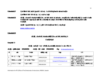fclhwdeld&7 ijke khk=h I fefr; kadh I jpuk ft I ds I aL; tuifrfu/kh gSmuds I adk eat kudkjh ijke"khk=h I fefr fo"o fo  $|ky;$  Lrj cuk; h  $x;$  h g& fclhwdeld&8 dk; ky; dsvrxir vlusokyh ckkli; ifj"kn, oal fefr; kadsl nL; kadsuke, oavgirkj xBu ledkh vknškj pkVj @ vuqdk Isledkh tkudkjih cBd vkam djusledkh kki u dsfunkki vke ukxfjd dh ifrhklíxrk rFkk dk; bkah fooj.k dh miy Chrk I edhn tludkjh mijkor lįpuk fo"ofo | ky; Lrj ij qSftl dh tkudkih osl kbV ij miyCk qS www.rvskvv.net.in

#### fclhwdeled&8

## dk; ky; dsvUrxr vkusokysckM! ifj"kn~, oal fefr; kadk fooj.k

### tludkjh fujd

#### fcandelad 9

# dk; ky; eadk; jr leLr vf/kdkij; ka, oadepkij; kadsuke in uke rFkk irk

dk;ky; njiHk'k dekal 07512467686 dk; ky; QDI dekal 07512467686  $\tilde{A}$ ey dirvskwgwl@gmail.com

| d- | uke                | inuke             | ekskby usj  | bey                         | irk                                           |
|----|--------------------|-------------------|-------------|-----------------------------|-----------------------------------------------|
|    |                    |                   |             |                             |                                               |
|    | Mkl ch., I – c?ksy | funskd f"k{k.k    | 09993202206 | dirvskvvgwl@gmail.com       | , Q&6 Nf'k dkyksuh cl LVSM ds ikl]            |
|    |                    |                   |             |                             | Xokfy; j 474002 ½e-i ¿½                       |
|    | MkW ds, u- uxkbib  | mi funskd f"k{k.k | 9425187184  | knnagaich1955 $@$ gmail.com | , Q&7 Ñf'k dkykuh] cI LVSM dsikl]             |
|    |                    |                   |             |                             | Xokfy; j 474002 $\frac{1}{2}$ i $\frac{1}{2}$ |
|    | Jh th,I - tkVo     | $q_k$ ; d xM 2    | 9981681834  |                             | 'okMZu–1]?kkVeiġ]Mcjk jkM]fHkrjokj]           |
|    |                    |                   |             |                             | Xokfy; j 475220 ½-i1½                         |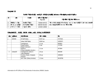# fcmqdekd 10

# funskd f"k{k.k dk;ky; eadk;jr vf/kdkjh @depkij;kadsoru rFkk mlgafeyusokyh I tp/kk;s

| d. | <b>uke</b>                 | i nuke             | elid ilijJfed<br>Pay+DA | ilfjrktkd ilfjJfed Hark oas                                                                                                                                                                                                                                                                                                        |
|----|----------------------------|--------------------|-------------------------|------------------------------------------------------------------------------------------------------------------------------------------------------------------------------------------------------------------------------------------------------------------------------------------------------------------------------------|
|    | $MkW$ $ch$ , $I - C?$ $ky$ | funskd f"k{k.k     | 73590+87572             | , 'kklu clsfu;ekuqlkjfo″ofo ky; Lrjijorufu/kkjk i'pkroru +oaxM                                                                                                                                                                                                                                                                     |
|    | Mk-d-, u-uxkbb             | mi funskd f"k{k.k  | 68430+81432             | $\sigma$ or $u$ eae $\alpha$ or $k$ b) $\alpha$ like $k$ or $\alpha$ is $\alpha$ is $\alpha$ is $\alpha$ is $\alpha$ is $\alpha$ is $\alpha$ is $\alpha$ is $\alpha$ is $\alpha$ is $\alpha$ is $\alpha$ is $\alpha$ is $\alpha$ is $\alpha$ is $\alpha$ is $\alpha$ is $\alpha$ is $\alpha$ is $\alpha$ is $\alpha$ is $\alpha$ i |
|    | Jh th, I - tkVo            | $ak: d \times M$ 2 | 12440+14804             |                                                                                                                                                                                                                                                                                                                                    |

# fcUnq de kal&11 dk;ky; dksikir vkolau , oa 0;; dk fooj.k o"k 2014&15

| $d\mathbf{a}$  | y{k en        | dk; I dk uke                                         | iMr vkoVu | $\mathbf{0}$ ; ; |
|----------------|---------------|------------------------------------------------------|-----------|------------------|
| 1              | <b>DI/DSW</b> | <b>DI Staff Salary</b>                               | 60.87 Lac | 4727942/-        |
|                |               | <b>Library Staff Salary</b>                          | 48.84 Lac | 1032507/-        |
|                |               | Contingences                                         | 11 Lac    | 854991/-         |
|                |               | <b>Pooled Vehicle</b><br>(Patrol+ Services)          | 3 Lac     | 171793/-         |
|                |               | PG/Ph.D.<br>(Thesis evaluation viva etc.)            | 11 Lac    | 357384/-         |
| $\overline{2}$ | Library/DI    | <b>Contingencies Labour &amp;</b><br>other allowance | 10 Lac    | 664248/-         |
|                |               | Furniture, Books, Computer,<br>Projector             | 33 Lac    | 3298400/-        |
|                |               | Dev. Grant (library furniture)                       | 1 Crore   | 99.96798/-       |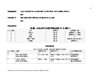#### I gk; d dk; Zdsfu"i knu dsrjhdsvkofNr /ku jkf/k rFkk ml dk; Zl sykHkou dk fooj.k\ fcUnwdekd&12

fujd

fclhqdelad 13 NW] vukk dsibirdrkdk fooj.k ftlgsinku fd;k x;k gå

fujd

## fcUnqdelad&14

# dk; ky; esmiyûk tludkjh khcuhqdekal 6 Islatikr½

| iy dekid | Jskh                      | gkMI dki h | by <b>Witud</b> Okei     |
|----------|---------------------------|------------|--------------------------|
|          | LFkki uk                  | ew ifr     | gkMZ fMLd ij vka"kd      |
|          | AJ KK                     | ew, ifr    | gkMIfMLd ij-vknok        |
|          | Hk.Mkj                    | ew, ifr    | --------                 |
|          | 'k <b>\$</b> kf.kd 'kk∫kk | ew ifr     | vkW ykbu fofo ocl kbV ij |
|          | vud <i>t</i> ikku         | ewy ifr    | qkMI fMLd i              |

# fclhqdelad&16

# vke turk dsfy; sdk; ky; eamiy(/k l fo/kk dh tkudkjh

| I jy dekid | $f_{\rm 100}$ /kk                                     | i llkkjh dk uke         | $f$ <sub>to</sub> /kk dk le;                         | I Ei di nijilikk"k dekid |
|------------|-------------------------------------------------------|-------------------------|------------------------------------------------------|--------------------------|
|            |                                                       |                         |                                                      |                          |
|            | ykd I puk vf/kdkjh<br>$ik$ fo fl ad fo fo $N$ okfy; j | Jh e-vkj tkVo           | keokj Is'kodbkj Ik;a4 Is5 cts   0751&2467066<br>rd A | 9425745722               |
|            | $V$ i hyh; $V$ f/kdkjh<br>jk-fo-fl ad-fo-fo-]Xolfy; j | Mka ch , $I - C$ ?k $y$ | keokj Is'kodbkj Ik;a4 Is5 cts 0751&2462403<br>rd A   | Ekk ua 09993202206       |